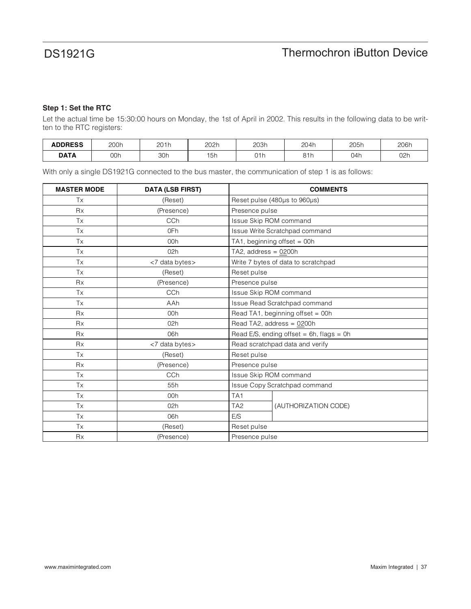### **Step 1: Set the RTC**

Let the actual time be 15:30:00 hours on Monday, the 1st of April in 2002. This results in the following data to be written to the RTC registers:

| <b>ADDRESS</b> | 200h | 201h | 202h                                | 203h | 204h           | 205h<br>___ | 206h |
|----------------|------|------|-------------------------------------|------|----------------|-------------|------|
| <b>DATA</b>    | 00h  | 30h  | $\rightarrow$ $ \rightarrow$<br>I5h | 01h  | 01h<br>0 1 1 1 | 04h         | 02h  |

With only a single DS1921G connected to the bus master, the communication of step 1 is as follows:

| <b>MASTER MODE</b> | <b>DATA (LSB FIRST)</b> | <b>COMMENTS</b>                               |  |  |
|--------------------|-------------------------|-----------------------------------------------|--|--|
| Tx                 | (Reset)                 | Reset pulse (480µs to 960µs)                  |  |  |
| <b>Rx</b>          | (Presence)              | Presence pulse                                |  |  |
| Tx                 | CCh                     | Issue Skip ROM command                        |  |  |
| Tx                 | 0Fh                     | Issue Write Scratchpad command                |  |  |
| Tx                 | 00h                     | TA1, beginning offset = $00h$                 |  |  |
| Tx                 | 02h                     | TA2, address = $0200h$                        |  |  |
| Tx                 | <7 data bytes>          | Write 7 bytes of data to scratchpad           |  |  |
| Tx                 | (Reset)                 | Reset pulse                                   |  |  |
| <b>Rx</b>          | (Presence)              | Presence pulse                                |  |  |
| Tx                 | CCh                     | Issue Skip ROM command                        |  |  |
| Tx                 | AAh                     | Issue Read Scratchpad command                 |  |  |
| <b>Rx</b>          | 00h                     | Read TA1, beginning offset = 00h              |  |  |
| <b>Rx</b>          | 02h                     | Read TA2, address = 0200h                     |  |  |
| <b>Rx</b>          | 06h                     | Read E/S, ending offset = $6h$ , flags = $0h$ |  |  |
| <b>Rx</b>          | <7 data bytes>          | Read scratchpad data and verify               |  |  |
| Tx                 | (Reset)                 | Reset pulse                                   |  |  |
| <b>Rx</b>          | (Presence)              | Presence pulse                                |  |  |
| Tx                 | CCh                     | Issue Skip ROM command                        |  |  |
| Tx                 | 55h                     | Issue Copy Scratchpad command                 |  |  |
| Tx                 | 00h                     | TA <sub>1</sub>                               |  |  |
| Tx                 | 02h                     | (AUTHORIZATION CODE)<br>TA <sub>2</sub>       |  |  |
| Tx                 | 06h                     | E/S                                           |  |  |
| Tx                 | (Reset)                 | Reset pulse                                   |  |  |
| <b>Rx</b>          | (Presence)              | Presence pulse                                |  |  |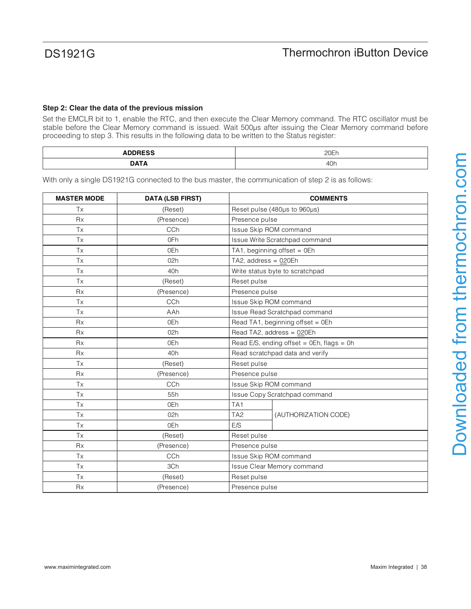### **Step 2: Clear the data of the previous mission**

Set the EMCLR bit to 1, enable the RTC, and then execute the Clear Memory command. The RTC oscillator must be stable before the Clear Memory command is issued. Wait 500µs after issuing the Clear Memory command before proceeding to step 3. This results in the following data to be written to the Status register:

| -------- | 20Er |
|----------|------|
| _______  |      |
| ---      | 40h  |

With only a single DS1921G connected to the bus master, the communication of step 2 is as follows:

| <b>MASTER MODE</b> | <b>DATA (LSB FIRST)</b> | <b>COMMENTS</b>                              |  |  |
|--------------------|-------------------------|----------------------------------------------|--|--|
| <b>Tx</b>          | (Reset)                 | Reset pulse (480µs to 960µs)                 |  |  |
| <b>Rx</b>          | (Presence)              | Presence pulse                               |  |  |
| Tx                 | CCh                     | Issue Skip ROM command                       |  |  |
| Tx                 | 0Fh                     | Issue Write Scratchpad command               |  |  |
| <b>Tx</b>          | 0Eh                     | TA1, beginning offset = $0Eh$                |  |  |
| <b>Tx</b>          | 02h                     | TA2, address = $020Eh$                       |  |  |
| <b>Tx</b>          | 40h                     | Write status byte to scratchpad              |  |  |
| <b>Tx</b>          | (Reset)                 | Reset pulse                                  |  |  |
| <b>Rx</b>          | (Presence)              | Presence pulse                               |  |  |
| <b>Tx</b>          | CCh                     | Issue Skip ROM command                       |  |  |
| <b>Tx</b>          | AAh                     | Issue Read Scratchpad command                |  |  |
| <b>Rx</b>          | 0Eh                     | Read TA1, beginning offset = 0Eh             |  |  |
| <b>Rx</b>          | 02h                     | Read TA2, address = 020Eh                    |  |  |
| <b>Rx</b>          | 0Eh                     | Read E/S, ending offset = $0Eh$ , flags = 0h |  |  |
| <b>Rx</b>          | 40h                     | Read scratchpad data and verify              |  |  |
| Tx                 | (Reset)                 | Reset pulse                                  |  |  |
| Rx                 | (Presence)              | Presence pulse                               |  |  |
| Tx                 | CCh                     | Issue Skip ROM command                       |  |  |
| Tx                 | 55h                     | Issue Copy Scratchpad command                |  |  |
| Tx                 | 0Eh                     | TA <sub>1</sub>                              |  |  |
| <b>Tx</b>          | 02h                     | TA <sub>2</sub><br>(AUTHORIZATION CODE)      |  |  |
| Tx                 | 0Eh                     | E/S                                          |  |  |
| Tx                 | (Reset)                 | Reset pulse                                  |  |  |
| <b>Rx</b>          | (Presence)              | Presence pulse                               |  |  |
| <b>Tx</b>          | CCh                     | Issue Skip ROM command                       |  |  |
| <b>Tx</b>          | 3Ch                     | Issue Clear Memory command                   |  |  |
| <b>Tx</b>          | (Reset)                 | Reset pulse                                  |  |  |
| Rx                 | (Presence)              | Presence pulse                               |  |  |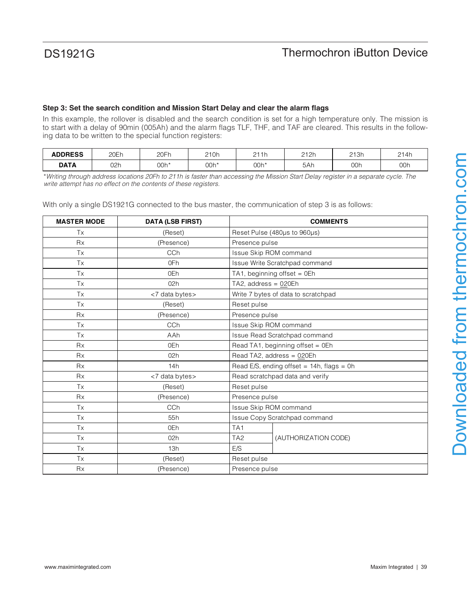## **Step 3: Set the search condition and Mission Start Delay and clear the alarm flags**

In this example, the rollover is disabled and the search condition is set for a high temperature only. The mission is to start with a delay of 90min (005Ah) and the alarm flags TLF, THF, and TAF are cleared. This results in the following data to be written to the special function registers:

| <b>ADDRESS</b> | 20Eh | 20Fh | 210h | 211h<br>.<br><u>ட</u> | 212h | 213h | 214h |
|----------------|------|------|------|-----------------------|------|------|------|
| <b>DATA</b>    | 02h  | 00h* | 00h* | 00h'                  | 5Ah  | 00h  | 00h  |

\*Writing through address locations 20Fh to 211h is faster than accessing the Mission Start Delay register in a separate cycle. The write attempt has no effect on the contents of these registers.

With only a single DS1921G connected to the bus master, the communication of step 3 is as follows:

| <b>MASTER MODE</b> | <b>DATA (LSB FIRST)</b> | <b>COMMENTS</b>                                |  |  |
|--------------------|-------------------------|------------------------------------------------|--|--|
| Tx                 | (Reset)                 | Reset Pulse (480µs to 960µs)                   |  |  |
| <b>Rx</b>          | (Presence)              | Presence pulse                                 |  |  |
| Tx                 | CCh                     | Issue Skip ROM command                         |  |  |
| Tx                 | 0Fh                     | Issue Write Scratchpad command                 |  |  |
| Tx                 | 0Eh                     | TA1, beginning offset = 0Eh                    |  |  |
| Tx                 | 02h                     | TA2, address = 020Eh                           |  |  |
| Tx                 | <7 data bytes>          | Write 7 bytes of data to scratchpad            |  |  |
| Tx                 | (Reset)                 | Reset pulse                                    |  |  |
| <b>Rx</b>          | (Presence)              | Presence pulse                                 |  |  |
| Tx                 | CCh                     | Issue Skip ROM command                         |  |  |
| Tx                 | AAh                     | Issue Read Scratchpad command                  |  |  |
| <b>Rx</b>          | 0Eh                     | Read TA1, beginning offset = $0Eh$             |  |  |
| <b>Rx</b>          | 02h                     | Read TA2, address = 020Eh                      |  |  |
| <b>Rx</b>          | 14h                     | Read E/S, ending offset $= 14h$ , flags $= 0h$ |  |  |
| <b>Rx</b>          | <7 data bytes>          | Read scratchpad data and verify                |  |  |
| Tx                 | (Reset)                 | Reset pulse                                    |  |  |
| <b>Rx</b>          | (Presence)              | Presence pulse                                 |  |  |
| Tx                 | CCh                     | <b>Issue Skip ROM command</b>                  |  |  |
| Tx                 | 55h                     | Issue Copy Scratchpad command                  |  |  |
| <b>Tx</b>          | 0Eh                     | TA <sub>1</sub>                                |  |  |
| <b>Tx</b>          | 02h                     | TA <sub>2</sub><br>(AUTHORIZATION CODE)        |  |  |
| <b>Tx</b>          | 13h                     | E/S                                            |  |  |
| Tx                 | (Reset)                 | Reset pulse                                    |  |  |
| <b>Rx</b>          | (Presence)              | Presence pulse                                 |  |  |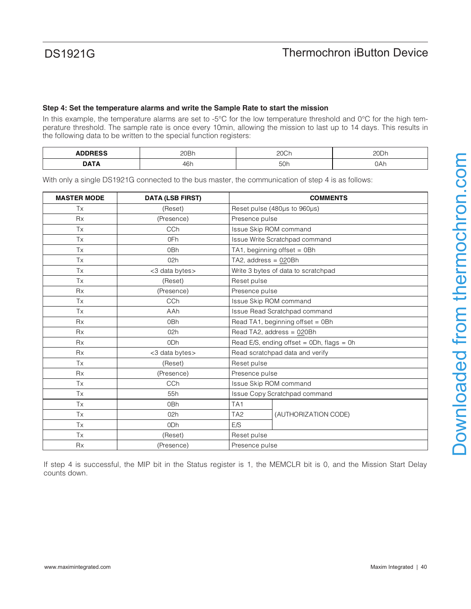### **Step 4: Set the temperature alarms and write the Sample Rate to start the mission**

In this example, the temperature alarms are set to -5°C for the low temperature threshold and 0°C for the high temperature threshold. The sample rate is once every 10min, allowing the mission to last up to 14 days. This results in the following data to be written to the special function registers:

| $\cdots$    | יחמר           | $\cap$        | 20Dh |
|-------------|----------------|---------------|------|
| ∼∽          | <b>ZUDII</b>   | LUUI          |      |
| <b>DATA</b> | $\sim$<br>4011 | TAL<br>$\sim$ | 0Ah  |

With only a single DS1921G connected to the bus master, the communication of step 4 is as follows:

| <b>MASTER MODE</b> | <b>DATA (LSB FIRST)</b> |                                  | <b>COMMENTS</b>                           |  |  |
|--------------------|-------------------------|----------------------------------|-------------------------------------------|--|--|
| Tx                 | (Reset)                 |                                  | Reset pulse (480µs to 960µs)              |  |  |
| <b>R</b> x         | (Presence)              |                                  | Presence pulse                            |  |  |
| Tx                 | <b>CCh</b>              | Issue Skip ROM command           |                                           |  |  |
| Tx                 | 0Fh                     |                                  | Issue Write Scratchpad command            |  |  |
| <b>Tx</b>          | 0 <sub>Bh</sub>         |                                  | TA1, beginning offset = 0Bh               |  |  |
| <b>Tx</b>          | 02h                     | TA2, address = $020Bh$           |                                           |  |  |
| <b>Tx</b>          | <3 data bytes>          |                                  | Write 3 bytes of data to scratchpad       |  |  |
| Tx                 | (Reset)                 | Reset pulse                      |                                           |  |  |
| <b>Rx</b>          | (Presence)              | Presence pulse                   |                                           |  |  |
| Tx                 | <b>CCh</b>              | Issue Skip ROM command           |                                           |  |  |
| <b>Tx</b>          | AAh                     | Issue Read Scratchpad command    |                                           |  |  |
| <b>Rx</b>          | 0Bh                     | Read TA1, beginning offset = 0Bh |                                           |  |  |
| Rx                 | 02h                     | Read TA2, address = 020Bh        |                                           |  |  |
| <b>Rx</b>          | 0 <sub>Dh</sub>         |                                  | Read E/S, ending offset = 0Dh, flags = 0h |  |  |
| <b>Rx</b>          | <3 data bytes>          | Read scratchpad data and verify  |                                           |  |  |
| Tx                 | (Reset)                 | Reset pulse                      |                                           |  |  |
| <b>Rx</b>          | (Presence)              | Presence pulse                   |                                           |  |  |
| <b>Tx</b>          | <b>CCh</b>              | Issue Skip ROM command           |                                           |  |  |
| Tx                 | 55h                     | Issue Copy Scratchpad command    |                                           |  |  |
| <b>Tx</b>          | 0Bh                     | TA <sub>1</sub>                  |                                           |  |  |
| Tx                 | 02h                     | TA <sub>2</sub>                  | (AUTHORIZATION CODE)                      |  |  |
| <b>Tx</b>          | 0 <sub>Dh</sub>         | E/S                              |                                           |  |  |
| Tx                 | (Reset)                 | Reset pulse                      |                                           |  |  |
| <b>Rx</b>          | (Presence)              | Presence pulse                   |                                           |  |  |

If step 4 is successful, the MIP bit in the Status register is 1, the MEMCLR bit is 0, and the Mission Start Delay counts down.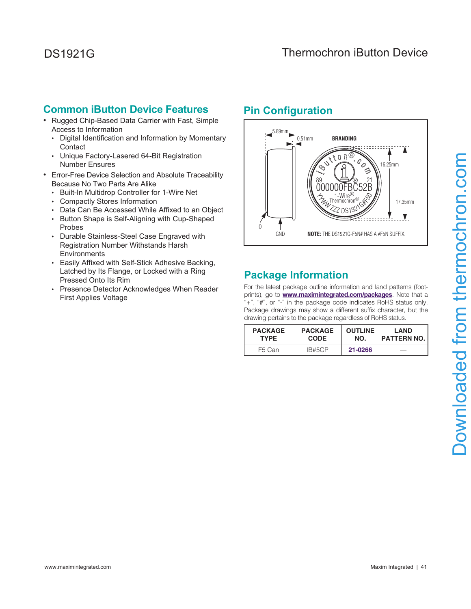## **Common iButton Device Features**

- Rugged Chip-Based Data Carrier with Fast, Simple Access to Information
	- Digital Identification and Information by Momentary **Contact**
	- Unique Factory-Lasered 64-Bit Registration Number Ensures
- Error-Free Device Selection and Absolute Traceability Because No Two Parts Are Alike
	- Built-In Multidrop Controller for 1-Wire Net
	- Compactly Stores Information
	- Data Can Be Accessed While Affixed to an Object
	- Button Shape is Self-Aligning with Cup-Shaped Probes
	- Durable Stainless-Steel Case Engraved with Registration Number Withstands Harsh Environments
	- Easily Affixed with Self-Stick Adhesive Backing, Latched by Its Flange, or Locked with a Ring Pressed Onto Its Rim
	- Presence Detector Acknowledges When Reader First Applies Voltage

## **Pin Configuration**



# **Package Information**

For the latest package outline information and land patterns (footprints), go to **www.maximintegrated.com/packages**. Note that a "+", "#", or "-" in the package code indicates RoHS status only. Package drawings may show a different suffix character, but the drawing pertains to the package regardless of RoHS status.

| <b>PACKAGE</b> | <b>PACKAGE</b> | <b>OUTLINE</b> | <b>LAND</b>   |
|----------------|----------------|----------------|---------------|
| <b>TYPF</b>    | <b>CODE</b>    | NO.            | I PATTERN NO. |
| F5 Can         | IB#5CP         | 21-0266        |               |